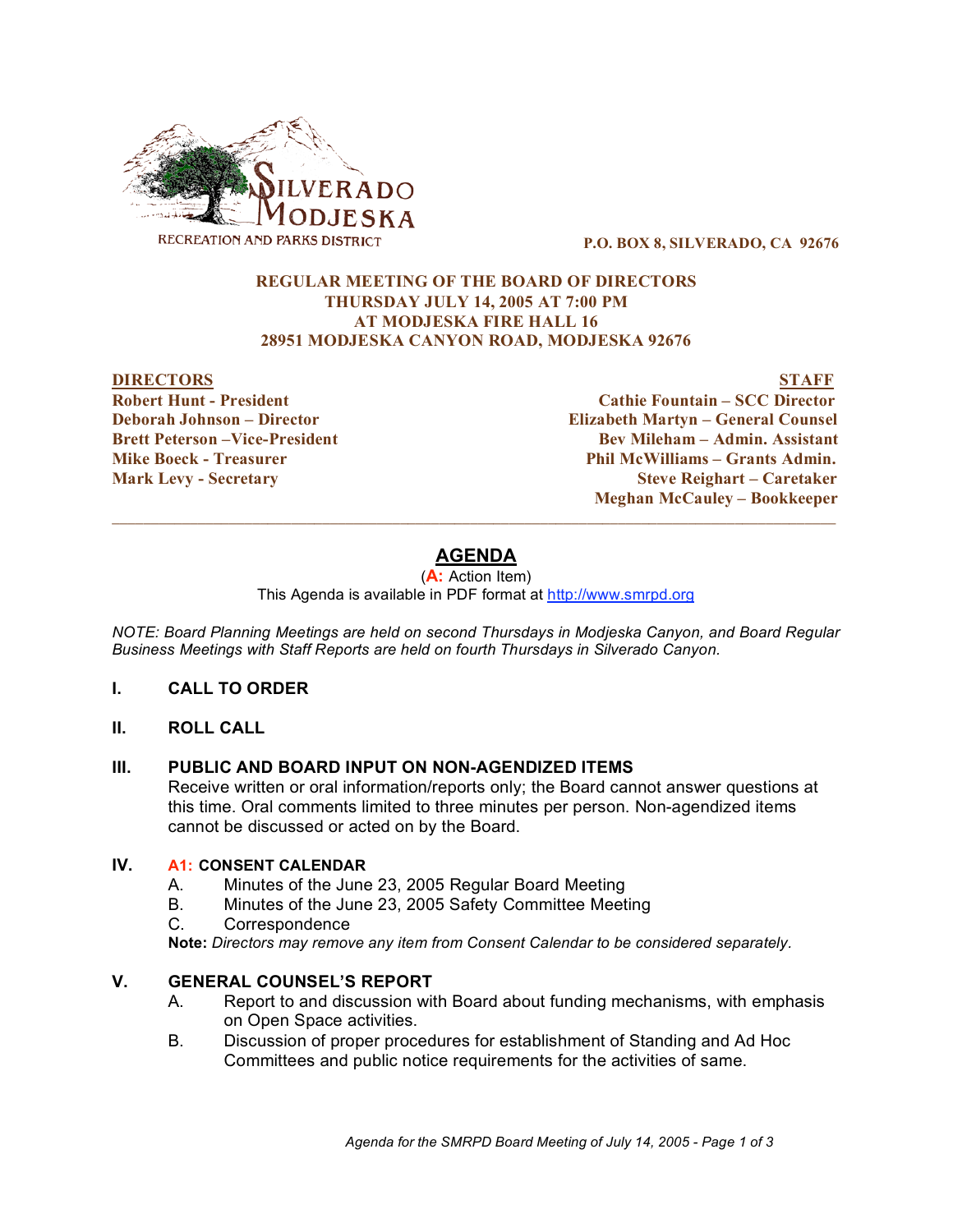

**P.O. BOX 8, SILVERADO, CA 92676**

## **REGULAR MEETING OF THE BOARD OF DIRECTORS THURSDAY JULY 14, 2005 AT 7:00 PM AT MODJESKA FIRE HALL 16 28951 MODJESKA CANYON ROAD, MODJESKA 92676**

### **DIRECTORS STAFF**

**Robert Hunt - President Cathie Fountain – SCC Director**

**Deborah Johnson – Director Elizabeth Martyn – General Counsel Brett Peterson –Vice-President Bev Mileham – Admin. Assistant Mike Boeck - Treasurer Phil McWilliams – Grants Admin. Mark Levy - Secretary Steve Reighart – Caretaker Meghan McCauley – Bookkeeper**

# **AGENDA**

 $\overline{\phantom{a}}$  ,  $\overline{\phantom{a}}$  ,  $\overline{\phantom{a}}$  ,  $\overline{\phantom{a}}$  ,  $\overline{\phantom{a}}$  ,  $\overline{\phantom{a}}$  ,  $\overline{\phantom{a}}$  ,  $\overline{\phantom{a}}$  ,  $\overline{\phantom{a}}$  ,  $\overline{\phantom{a}}$  ,  $\overline{\phantom{a}}$  ,  $\overline{\phantom{a}}$  ,  $\overline{\phantom{a}}$  ,  $\overline{\phantom{a}}$  ,  $\overline{\phantom{a}}$  ,  $\overline{\phantom{a}}$ 

(**A:** Action Item)

This Agenda is available in PDF format at http://www.smrpd.org

*NOTE: Board Planning Meetings are held on second Thursdays in Modjeska Canyon, and Board Regular Business Meetings with Staff Reports are held on fourth Thursdays in Silverado Canyon.*

- **I. CALL TO ORDER**
- **II. ROLL CALL**

## **III. PUBLIC AND BOARD INPUT ON NON-AGENDIZED ITEMS**

Receive written or oral information/reports only; the Board cannot answer questions at this time. Oral comments limited to three minutes per person. Non-agendized items cannot be discussed or acted on by the Board.

# **IV. A1: CONSENT CALENDAR**

- A. Minutes of the June 23, 2005 Regular Board Meeting
- B. Minutes of the June 23, 2005 Safety Committee Meeting
- C. Correspondence

**Note:** *Directors may remove any item from Consent Calendar to be considered separately.*

## **V. GENERAL COUNSEL'S REPORT**

- A. Report to and discussion with Board about funding mechanisms, with emphasis on Open Space activities.
- B. Discussion of proper procedures for establishment of Standing and Ad Hoc Committees and public notice requirements for the activities of same.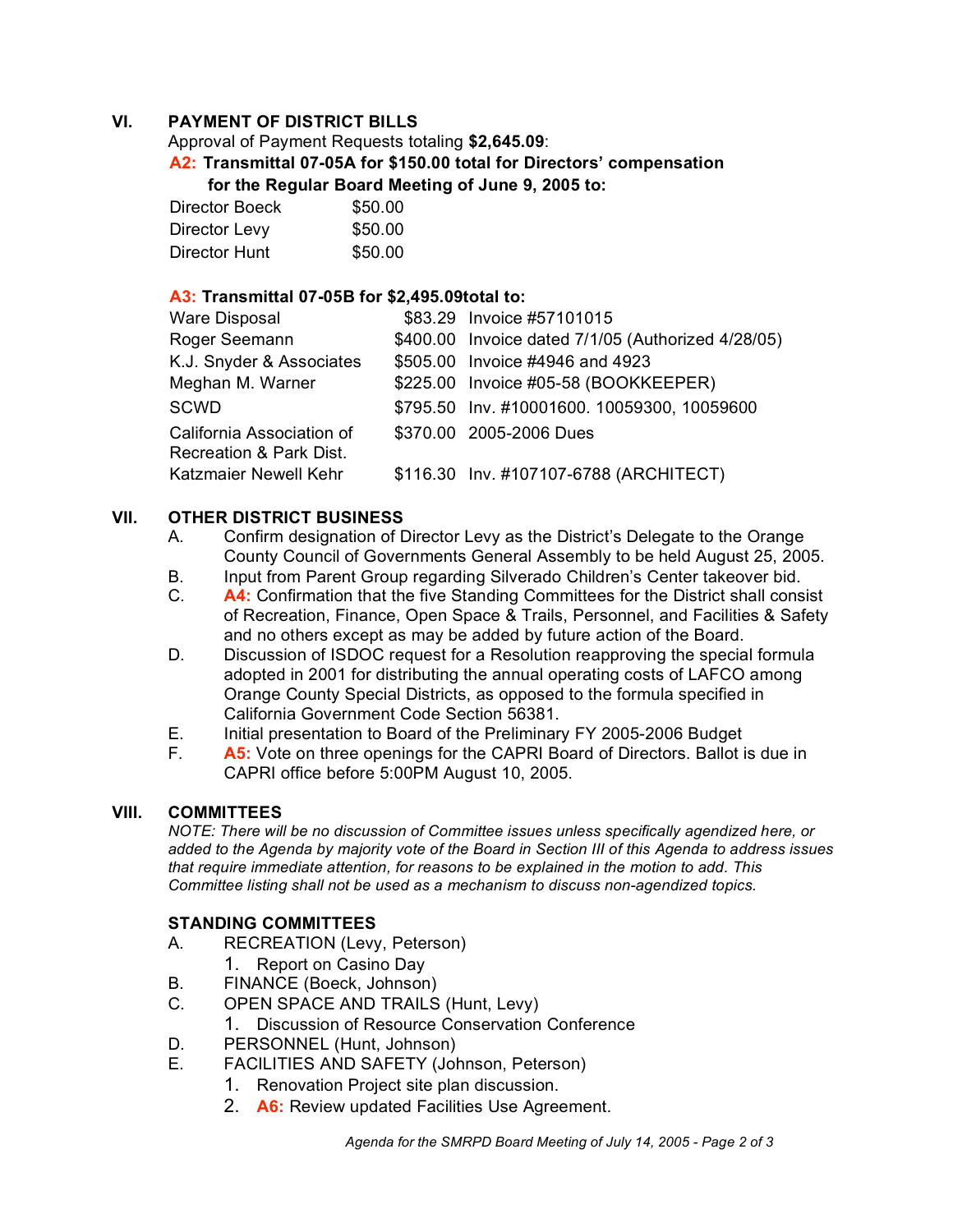# **VI. PAYMENT OF DISTRICT BILLS**

Approval of Payment Requests totaling **\$2,645.09**:

**A2: Transmittal 07-05A for \$150.00 total for Directors' compensation for the Regular Board Meeting of June 9, 2005 to:** 

| Director Boeck | \$50.00 |
|----------------|---------|
| Director Levy  | \$50.00 |
| Director Hunt  | \$50.00 |

# **A3: Transmittal 07-05B for \$2,495.09total to:**

| Ware Disposal                                        | \$83.29 Invoice #57101015                          |
|------------------------------------------------------|----------------------------------------------------|
| Roger Seemann                                        | \$400.00 Invoice dated 7/1/05 (Authorized 4/28/05) |
| K.J. Snyder & Associates                             | \$505.00 Invoice #4946 and 4923                    |
| Meghan M. Warner                                     | \$225.00 Invoice #05-58 (BOOKKEEPER)               |
| <b>SCWD</b>                                          | \$795.50 Inv. #10001600. 10059300, 10059600        |
| California Association of<br>Recreation & Park Dist. | \$370.00 2005-2006 Dues                            |
| Katzmaier Newell Kehr                                | \$116.30 Inv. #107107-6788 (ARCHITECT)             |

# **VII. OTHER DISTRICT BUSINESS**

- A. Confirm designation of Director Levy as the District's Delegate to the Orange County Council of Governments General Assembly to be held August 25, 2005.
- B. Input from Parent Group regarding Silverado Children's Center takeover bid.
- C. **A4:** Confirmation that the five Standing Committees for the District shall consist of Recreation, Finance, Open Space & Trails, Personnel, and Facilities & Safety and no others except as may be added by future action of the Board.
- D. Discussion of ISDOC request for a Resolution reapproving the special formula adopted in 2001 for distributing the annual operating costs of LAFCO among Orange County Special Districts, as opposed to the formula specified in California Government Code Section 56381.
- E. Initial presentation to Board of the Preliminary FY 2005-2006 Budget
- F. **A5:** Vote on three openings for the CAPRI Board of Directors. Ballot is due in CAPRI office before 5:00PM August 10, 2005.

# **VIII. COMMITTEES**

*NOTE: There will be no discussion of Committee issues unless specifically agendized here, or* added to the Agenda by majority vote of the Board in Section III of this Agenda to address issues *that require immediate attention, for reasons to be explained in the motion to add. This Committee listing shall not be used as a mechanism to discuss non-agendized topics.*

# **STANDING COMMITTEES**

- A. RECREATION (Levy, Peterson)
	- 1. Report on Casino Day
- B. FINANCE (Boeck, Johnson)
- C. OPEN SPACE AND TRAILS (Hunt, Levy)
	- 1. Discussion of Resource Conservation Conference
- D. PERSONNEL (Hunt, Johnson)
- E. FACILITIES AND SAFETY (Johnson, Peterson)
	- 1. Renovation Project site plan discussion.
	- 2. **A6:** Review updated Facilities Use Agreement.